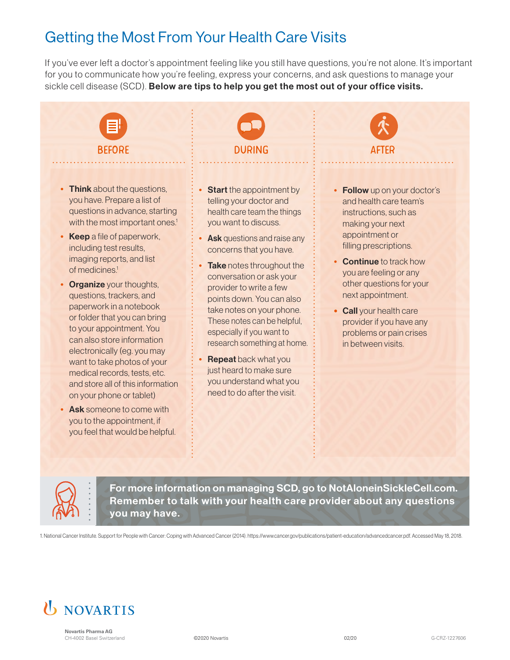# Getting the Most From Your Health Care Visits

If you've ever left a doctor's appointment feeling like you still have questions, you're not alone. It's important for you to communicate how you're feeling, express your concerns, and ask questions to manage your sickle cell disease (SCD). Below are tips to help you get the most out of your office visits.



- Think about the questions, you have. Prepare a list of questions in advance, starting with the most important ones.<sup>1</sup>
- Keep a file of paperwork, including test results, imaging reports, and list of medicines.<sup>1</sup>
- **Organize** your thoughts, questions, trackers, and paperwork in a notebook or folder that you can bring to your appointment. You can also store information electronically (eg. you may want to take photos of your medical records, tests, etc. and store all of this information on your phone or tablet)
- Ask someone to come with you to the appointment, if you feel that would be helpful.
- Start the appointment by telling your doctor and health care team the things you want to discuss.
- Ask questions and raise any concerns that you have.
- Take notes throughout the conversation or ask your provider to write a few points down. You can also take notes on your phone. These notes can be helpful, especially if you want to research something at home.
- **Repeat back what you** just heard to make sure you understand what you need to do after the visit.



- Follow up on your doctor's and health care team's instructions, such as making your next appointment or filling prescriptions.
- Continue to track how you are feeling or any other questions for your next appointment.
- Call your health care provider if you have any problems or pain crises in between visits.



For more information on managing SCD, go to NotAloneinSickleCell.com. Remember to talk with your health care provider about any questions you may have.

1. National Cancer Institute. Support for People with Cancer: Coping with Advanced Cancer (2014). https://www.cancer.gov/publications/patient-education/advancedcancer.pdf. Accessed May 18, 2018.



**Novartis Pharma AG** CH-4002 Basel Switzerland ©2020 Novartis 02/20 G-CRZ-1227606